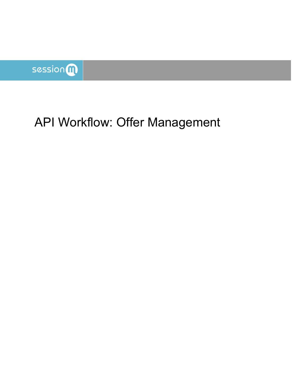

# API Workflow: Offer Management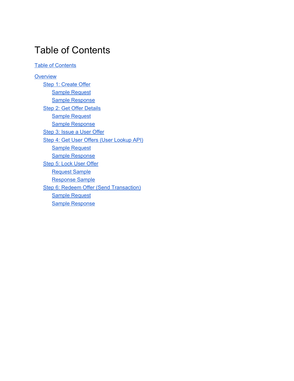## <span id="page-1-0"></span>Table of Contents

**Table of [Contents](#page-1-0)** 

**[Overview](#page-2-0)** Step 1: [Create](#page-2-1) Offer Sample [Request](#page-2-2) Sample [Response](#page-3-0) Step 2: Get Offer [Details](#page-3-1) Sample [Request](#page-3-2) Sample [Response](#page-3-3) Step 3: [Issue](#page-4-0) a User Offer Step 4: Get User Offers (User [Lookup](#page-4-1) API) Sample [Request](#page-4-2) Sample [Response](#page-5-0) Step 5: Lock User [Offer](#page-7-0) [Request](#page-7-1) Sample [Response](#page-8-0) Sample Step 6: Redeem Offer (Send [Transaction\)](#page-9-0) Sample [Request](#page-9-1) Sample [Response](#page-10-0)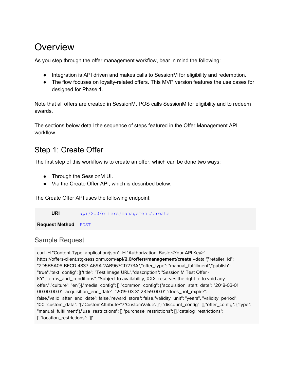# <span id="page-2-0"></span>**Overview**

As you step through the offer management workflow, bear in mind the following:

- Integration is API driven and makes calls to SessionM for eligibility and redemption.
- The flow focuses on loyalty-related offers. This MVP version features the use cases for designed for Phase 1.

Note that all offers are created in SessionM. POS calls SessionM for eligibility and to redeem awards.

The sections below detail the sequence of steps featured in the Offer Management API workflow.

## <span id="page-2-1"></span>Step 1: Create Offer

The first step of this workflow is to create an offer, which can be done two ways:

- Through the SessionM UI.
- Via the Create Offer API, which is described below.

The Create Offer API uses the following endpoint:

**URI** api/2.0/offers/management/create

**Request Method** POST

## <span id="page-2-2"></span>Sample Request

curl -H "Content-Type: application/json" -H "Authorization: Basic <Your API Key>" https://offers-client.stg-sessionm.com/**api/2.0/offers/management/create** --data '{"retailer\_id": "2D5B5A08-BECD-4837-A69A-2AB967C17773A","offer\_type": "manual\_fulfillment","publish": "true","text\_config": [{"title": "Test Image URL","description": "Session M Test Offer - KY","terms\_and\_conditions": "Subject to availability, XXX reserves the right to to void any offer.","culture": "en"}],"media\_config": [],"common\_config": {"acquisition\_start\_date": "2018-03-01 00:00:00.0","acquisition\_end\_date": "2019-03-31 23:59:00.0","does\_not\_expire": false,"valid\_after\_end\_date": false,"reward\_store": false,"validity\_unit": "years", "validity\_period": 100,"custom\_data": "{\"CustomAttribute\":\"CustomValue\"}"},"discount\_config": {},"offer\_config": {"type": "manual\_fulfillment"},"use\_restrictions": [],"purchase\_restrictions": [],"catalog\_restrictions": [],"location\_restrictions": []}'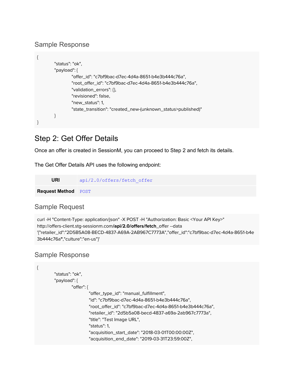#### <span id="page-3-0"></span>Sample Response

```
{
        "status": "ok",
        "payload": {
                "offer_id": "c7bf9bac-d7ec-4d4a-8651-b4e3b444c76a",
                "root_offer_id": "c7bf9bac-d7ec-4d4a-8651-b4e3b444c76a",
                "validation_errors": {},
                "revisioned": false,
                "new_status": 1,
                "state_transition": "created_new-(unknown_status>published)"
        }
}
```
## <span id="page-3-1"></span>Step 2: Get Offer Details

Once an offer is created in SessionM, you can proceed to Step 2 and fetch its details.

The Get Offer Details API uses the following endpoint:

| URI                        | api/2.0/offers/fetch offer |
|----------------------------|----------------------------|
| <b>Request Method POST</b> |                            |

#### <span id="page-3-2"></span>Sample Request

```
curl -H "Content-Type: application/json" -X POST -H "Authorization: Basic <Your API Key>"
http://offers-client.stg-sessionm.com/api/2.0/offers/fetch_offer --data
'{"retailer_id":"2D5B5A08-BECD-4837-A69A-2AB967C7773A","offer_id":"c7bf9bac-d7ec-4d4a-8651-b4e
3b444c76a","culture":"en-us"}'
```
#### <span id="page-3-3"></span>Sample Response

```
{
        "status": "ok",
        "payload": {
                "offer": {
                         "offer_type_id": "manual_fulfillment",
                         "id": "c7bf9bac-d7ec-4d4a-8651-b4e3b444c76a",
                         "root_offer_id": "c7bf9bac-d7ec-4d4a-8651-b4e3b444c76a",
                         "retailer_id": "2d5b5a08-becd-4837-a69a-2ab967c7773a",
                         "title": "Test Image URL",
                         "status": 1,
                         "acquisition_start_date": "2018-03-01T00:00:00Z",
                         "acquisition_end_date": "2019-03-31T23:59:00Z",
```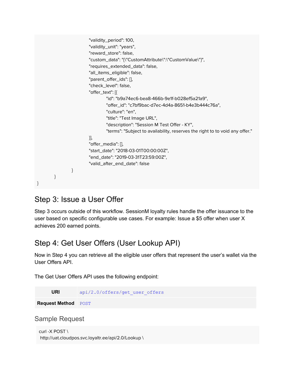```
"validity_period": 100,
                          "validity_unit": "years",
                          "reward_store": false,
                          "custom_data": "{\"CustomAttribute\":\"CustomValue\"}",
                          "requires_extended_data": false,
                          "all_items_eligible": false,
                          "parent_offer_ids": [],
                          "check_level": false,
                          "offer_text": [{
                                  "id": "b9a74ec6-bea8-466b-9e1f-b028ef5a21a9",
                                  "offer_id": "c7bf9bac-d7ec-4d4a-8651-b4e3b444c76a",
                                  "culture": "en",
                                  "title": "Test Image URL",
                                  "description": "Session M Test Offer - KY",
                                  "terms": "Subject to availability, reserves the right to to void any offer."
                          }],
                          "offer_media": [],
                          "start_date": "2018-03-01T00:00:00Z",
                          "end_date": "2019-03-31T23:59:00Z",
                          "valid_after_end_date": false
                 }
        }
}
```
## <span id="page-4-0"></span>Step 3: Issue a User Offer

Step 3 occurs outside of this workflow. SessionM loyalty rules handle the offer issuance to the user based on specific configurable use cases. For example: Issue a \$5 offer when user X achieves 200 earned points.

## <span id="page-4-1"></span>Step 4: Get User Offers (User Lookup API)

Now in Step 4 you can retrieve all the eligible user offers that represent the user's wallet via the User Offers API.

The Get User Offers API uses the following endpoint:

**URI** api/2.0/offers/get user offers

**Request Method** POST

<span id="page-4-2"></span>Sample Request

```
curl -X POST \
http://uat.cloudpos.svc.loyaltr.ee/api/2.0/Lookup \
```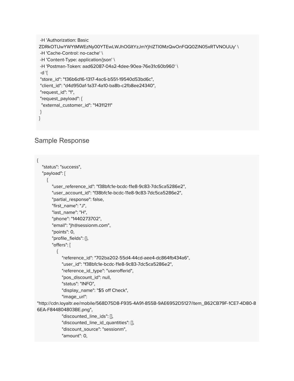```
-H 'Authorization: Basic
ZDRkOTUwYWYtMWEzNy00YTEwLWJhOGItYzJmYjhlZTI0MzQwOnFQQ0ZlN05xRTVNOUUy' \
-H 'Cache-Control: no-cache' \
-H 'Content-Type: application/json' \
-H 'Postman-Token: aad62087-04a2-4dee-90ea-76e31c60b960' \
-d '{
"store_id": "136b6d16-1317-4ac6-b551-19540d53bd6c",
"client_id": "d4d950af-1a37-4a10-ba8b-c2fb8ee24340",
"request_id": "1",
"request_payload": {
 "external_customer_id": "14311211"
}
}
```
#### <span id="page-5-0"></span>Sample Response

```
{
  "status": "success",
  "payload": [
    {
       "user_reference_id": "f38bfc1e-bcdc-11e8-9c83-7dc5ca5286e2",
       "user_account_id": "f38bfc1e-bcdc-11e8-9c83-7dc5ca5286e2",
       "partial_response": false,
       "first_name": "J",
       "last_name": "H",
       "phone": "1440273702",
       "email": "jh@sessionm.com",
       "points": 0,
       "profile_fields": {},
       "offers": [
         {
           "reference_id": "702ba202-55d4-44cd-aee4-dc864fb434a6",
           "user_id": "f38bfc1e-bcdc-11e8-9c83-7dc5ca5286e2",
           "reference_id_type": "userofferid",
           "pos_discount_id": null,
           "status": "INFO",
           "display_name": "$5 off Check",
           "image_url":
"http://cdn.loyaltr.ee/mobile/568D75D8-F935-4A91-855B-9AE6952D5127/item_B62CB79F-1CE7-4D80-8
6EA-F844804803BE.png",
           "discounted_line_ids": [],
           "discounted_line_id_quantities": [],
           "discount_source": "sessionm",
           "amount": 0,
```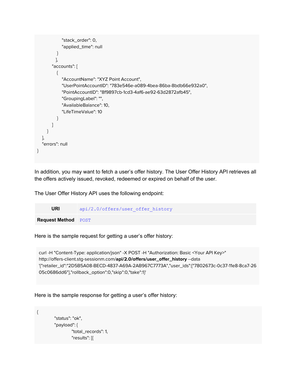```
"stack_order": 0,
           "applied_time": null
         }
        ],
       "accounts": [
         {
           "AccountName": "XYZ Point Account",
           "UserPointAccountID": "783e546e-a089-4bea-86ba-8bdb66e932a0",
           "PointAccountID": "8f9897cb-1cd3-4af6-ae92-63d2872afb45",
           "GroupingLabel": "",
           "AvailableBalance": 10,
           "LifeTimeValue": 10
         }
      ]
    }
  ],
  "errors": null
}
```
In addition, you may want to fetch a user's offer history. The User Offer History API retrieves all the offers actively issued, revoked, redeemed or expired on behalf of the user.

The User Offer History API uses the following endpoint:

| URI                        | api/2.0/offers/user offer history |
|----------------------------|-----------------------------------|
| <b>Request Method POST</b> |                                   |

Here is the sample request for getting a user's offer history:

curl -H "Content-Type: application/json" -X POST -H "Authorization: Basic <Your API Key>" http://offers-client.stg-sessionm.com/**api/2.0/offers/user\_offer\_history** --data '{"retailer\_id":"2D5B5A08-BECD-4837-A69A-2AB967C7773A","user\_ids":["7802673c-0c37-11e8-8ca7-26 05c0686dd6"],"rollback\_option":0,"skip":0,"take":1}'

Here is the sample response for getting a user's offer history:

```
{
         "status": "ok",
         "payload": {
                  "total_records": 1,
                  "results": [{
```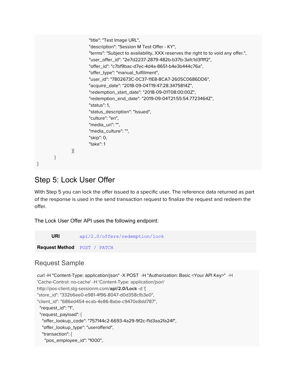```
"title": "Test Image URL",
                         "description": "Session M Test Offer - KY",
                         "terms": "Subject to availability, XXX reserves the right to to void any offer.",
                         "user_offer_id": "2e7d2237-2879-482b-b37b-3afc1d3f1ff2",
                         "offer_id": "c7bf9bac-d7ec-4d4a-8651-b4e3b444c76a",
                         "offer_type": "manual_fulfillment",
                         "user_id": "7802673C-0C37-11E8-8CA7-2605C0686DD6",
                         "acquire_date": "2018-09-04T19:47:28.3475814Z",
                         "redemption_start_date": "2018-09-01T08:00:00Z",
                         "redemption_end_date": "2019-09-04T21:55:54.7723464Z",
                         "status": 1,
                         "status_description": "Issued",
                         "culture": "en",
                         "media_uri": "",
                         "media_culture": "",
                         "skip": 0,
                         "take": 1
                }]
        }
}
```
## <span id="page-7-0"></span>Step 5: Lock User Offer

With Step 5 you can lock the offer issued to a specific user. The reference data returned as part of the response is used in the send transaction request to finalize the request and redeem the offer.

The Lock User Offer API uses the following endpoint:

**URI** api/2.0/offers/redemption/lock **Request Method** POST / PATCH

#### <span id="page-7-1"></span>Request Sample

```
curl -H "Content-Type: application/json" -X POST -H "Authorization: Basic <Your API Key>" -H
'Cache-Control: no-cache' -H 'Content-Type: application/json'
http://pos-client.stg-sessionm.com/api/2.0/Lock -d '{
"store_id": "332b6ee0-e981-4f96-8047-d0d358cfb3e0",
"client_id": "686ed454-ecab-4e86-8abe-c9470e8dd787",
 "request_id": "1",
 "request_payload": {
  "offer_lookup_code": "757144c2-6693-4a29-9f2c-f1d3aa2fa24f",
  "offer_lookup_type": "userofferid",
  "transaction": {
   "pos_employee_id": "1000",
```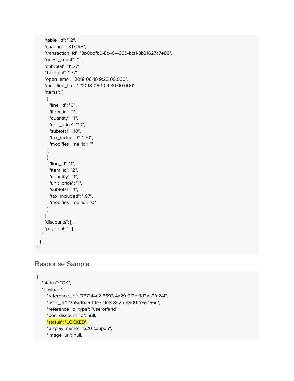```
"table_id": "12",
    "channel": "STORE",
    "transaction_id": "3b0bdfb0-8c40-4960-bcf1-3b31627a7e83",
    "guest_count": "1",
    "subtotal": "11.77",
    "TaxTotal": ".77",
    "open_time": "2018-06-10 9:20:00.000",
    "modified_time": "2018-06-10 9:30:00.000",
    "items": [
     {
      "line_id": "0",
      "item_id": "1",
      "quantity": "1",
      "unit_price": "10",
      "subtotal": "10",
      "tax_included": ".70",
      "modifies_line_id": ""
     },
     {
      "line_id": "1",
      "item_id": "2",
      "quantity": "1",
      "unit_price": "1",
      "subtotal": "1",
      "tax_included": ".07",
      "modifies_line_id": "0"
    }
    ],
    "discounts": [],
    "payments": []
  }
}
}'
```
## <span id="page-8-0"></span>Response Sample

{

"status": "OK", "payload": { "reference\_id": "757144c2-6693-4a29-9f2c-f1d3aa2fa24f", "user\_id": "7a5d1ba6-b1e3-11e8-842b-88002c64166c", "reference\_id\_type": "userofferid", "pos\_discount\_id": null, "status": "LOCKED", "display\_name": "\$20 coupon", "image\_url": null,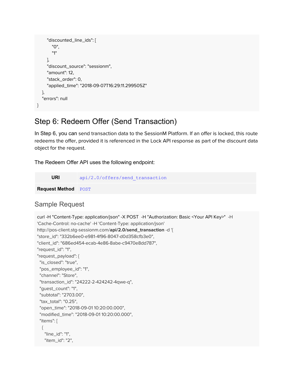```
"discounted_line_ids": [
       "0",
       "1"
    ],
     "discount_source": "sessionm",
     "amount": 12,
     "stack_order": 0,
     "applied_time": "2018-09-07T16:29:11.299505Z"
  },
  "errors": null
}
```
## <span id="page-9-0"></span>Step 6: Redeem Offer (Send Transaction)

In Step 6, you can send transaction data to the SessionM Platform. If an offer is locked, this route redeems the offer, provided it is referenced in the Lock API response as part of the discount data object for the request.

The Redeem Offer API uses the following endpoint:

| URI                        | api/2.0/offers/send transaction |
|----------------------------|---------------------------------|
| <b>Request Method POST</b> |                                 |

## <span id="page-9-1"></span>Sample Request

```
curl -H "Content-Type: application/json" -X POST -H "Authorization: Basic <Your API Key>" -H
'Cache-Control: no-cache' -H 'Content-Type: application/json'
http://pos-client.stg-sessionm.com/api/2.0/send_transaction -d '{
"store_id": "332b6ee0-e981-4f96-8047-d0d358cfb3e0",
"client_id": "686ed454-ecab-4e86-8abe-c9470e8dd787",
"request_id": "1",
"request_payload": {
 "is_closed": "true",
 "pos_employee_id": "1",
 "channel": "Store",
 "transaction_id": "24222-2-424242-4qwe-q",
 "guest_count": "1",
 "subtotal": "2703.00",
 "tax_total": "0.25",
 "open_time": "2018-09-01 10:20:00.000",
 "modified_time": "2018-09-01 10:20:00.000",
 "items": [
  {
   "line_id": "1",
   "item_id": "2",
```